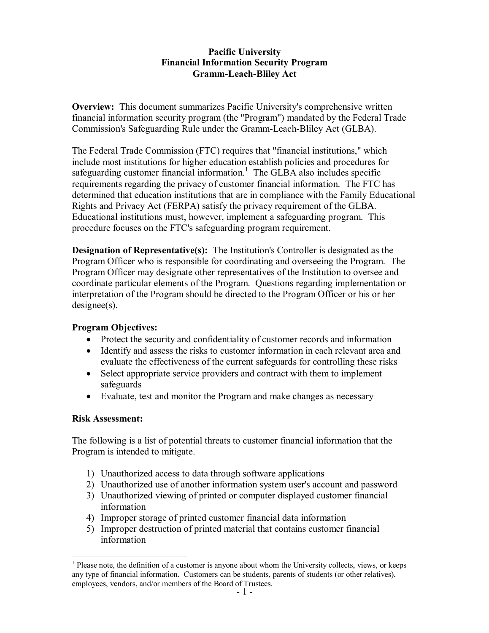## **Pacific University Financial Information Security Program Gramm-Leach-Bliley Act**

**Overview:** This document summarizes Pacific University's comprehensive written financial information security program (the "Program") mandated by the Federal Trade Commission's Safeguarding Rule under the Gramm-Leach-Bliley Act (GLBA).

The Federal Trade Commission (FTC) requires that "financial institutions," which include most institutions for higher education establish policies and procedures for safeguarding customer financial information.<sup>1</sup> The GLBA also includes specific requirements regarding the privacy of customer financial information. The FTC has determined that education institutions that are in compliance with the Family Educational Rights and Privacy Act (FERPA) satisfy the privacy requirement of the GLBA. Educational institutions must, however, implement a safeguarding program. This procedure focuses on the FTC's safeguarding program requirement.

**Designation of Representative(s):** The Institution's Controller is designated as the Program Officer who is responsible for coordinating and overseeing the Program. The Program Officer may designate other representatives of the Institution to oversee and coordinate particular elements of the Program. Questions regarding implementation or interpretation of the Program should be directed to the Program Officer or his or her designee(s).

# **Program Objectives:**

- Protect the security and confidentiality of customer records and information
- · Identify and assess the risks to customer information in each relevant area and evaluate the effectiveness of the current safeguards for controlling these risks
- Select appropriate service providers and contract with them to implement safeguards
- Evaluate, test and monitor the Program and make changes as necessary

# **Risk Assessment:**

The following is a list of potential threats to customer financial information that the Program is intended to mitigate.

- 1) Unauthorized access to data through software applications
- 2) Unauthorized use of another information system user's account and password
- 3) Unauthorized viewing of printed or computer displayed customer financial information
- 4) Improper storage of printed customer financial data information
- 5) Improper destruction of printed material that contains customer financial information

 $<sup>1</sup>$  Please note, the definition of a customer is anyone about whom the University collects, views, or keeps</sup> any type of financial information. Customers can be students, parents of students (or other relatives), employees, vendors, and/or members of the Board of Trustees.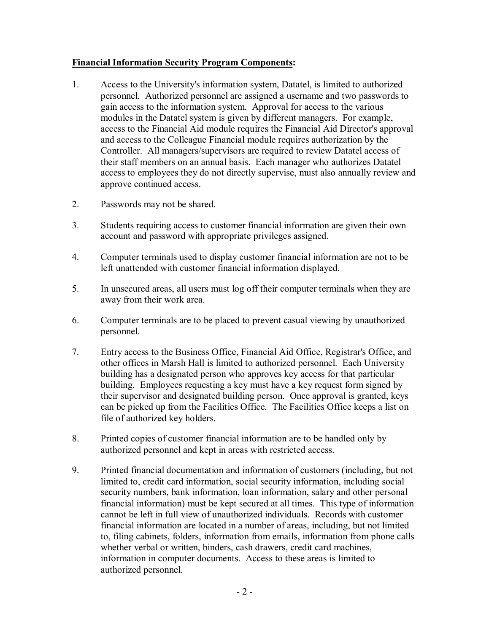# **Financial Information Security Program Components:**

- 1. Access to the University's information system, Datatel, is limited to authorized personnel. Authorized personnel are assigned a username and two passwords to gain access to the information system. Approval for access to the various modules in the Datatel system is given by different managers. For example, access to the Financial Aid module requires the Financial Aid Director's approval and access to the Colleague Financial module requires authorization by the Controller. All managers/supervisors are required to review Datatel access of their staff members on an annual basis. Each manager who authorizes Datatel access to employees they do not directly supervise, must also annually review and approve continued access.
- 2. Passwords may not be shared.
- 3. Students requiring access to customer financial information are given their own account and password with appropriate privileges assigned.
- 4. Computer terminals used to display customer financial information are not to be left unattended with customer financial information displayed.
- 5. In unsecured areas, all users must log off their computer terminals when they are away from their work area.
- 6. Computer terminals are to be placed to prevent casual viewing by unauthorized personnel.
- 7. Entry access to the Business Office, Financial Aid Office, Registrar's Office, and other offices in Marsh Hall is limited to authorized personnel. Each University building has a designated person who approves key access for that particular building. Employees requesting a key must have a key request form signed by their supervisor and designated building person. Once approval is granted, keys can be picked up from the Facilities Office. The Facilities Office keeps a list on file of authorized key holders.
- 8. Printed copies of customer financial information are to be handled only by authorized personnel and kept in areas with restricted access.
- 9. Printed financial documentation and information of customers (including, but not limited to, credit card information, social security information, including social security numbers, bank information, loan information, salary and other personal financial information) must be kept secured at all times. This type of information cannot be left in full view of unauthorized individuals. Records with customer financial information are located in a number of areas, including, but not limited to, filing cabinets, folders, information from emails, information from phone calls whether verbal or written, binders, cash drawers, credit card machines, information in computer documents. Access to these areas is limited to authorized personnel.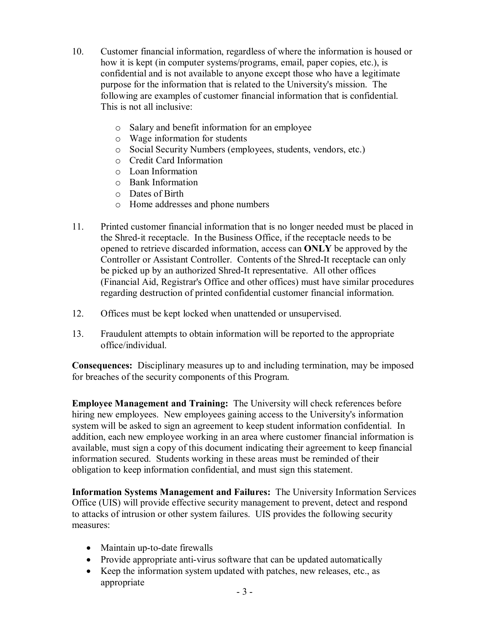- 10. Customer financial information, regardless of where the information is housed or how it is kept (in computer systems/programs, email, paper copies, etc.), is confidential and is not available to anyone except those who have a legitimate purpose for the information that is related to the University's mission. The following are examples of customer financial information that is confidential. This is not all inclusive:
	- o Salary and benefit information for an employee
	- o Wage information for students
	- o Social Security Numbers (employees, students, vendors, etc.)
	- o Credit Card Information
	- o Loan Information
	- o Bank Information
	- o Dates of Birth
	- o Home addresses and phone numbers
- 11. Printed customer financial information that is no longer needed must be placed in the Shred-it receptacle. In the Business Office, if the receptacle needs to be opened to retrieve discarded information, access can **ONLY** be approved by the Controller or Assistant Controller. Contents of the Shred-It receptacle can only be picked up by an authorized Shred-It representative. All other offices (Financial Aid, Registrar's Office and other offices) must have similar procedures regarding destruction of printed confidential customer financial information.
- 12. Offices must be kept locked when unattended or unsupervised.
- 13. Fraudulent attempts to obtain information will be reported to the appropriate office/individual.

**Consequences:** Disciplinary measures up to and including termination, may be imposed for breaches of the security components of this Program.

**Employee Management and Training:** The University will check references before hiring new employees. New employees gaining access to the University's information system will be asked to sign an agreement to keep student information confidential. In addition, each new employee working in an area where customer financial information is available, must sign a copy of this document indicating their agreement to keep financial information secured. Students working in these areas must be reminded of their obligation to keep information confidential, and must sign this statement.

**Information Systems Management and Failures:** The University Information Services Office (UIS) will provide effective security management to prevent, detect and respond to attacks of intrusion or other system failures. UIS provides the following security measures:

- $\bullet$  Maintain up-to-date firewalls
- Provide appropriate anti-virus software that can be updated automatically
- Keep the information system updated with patches, new releases, etc., as appropriate